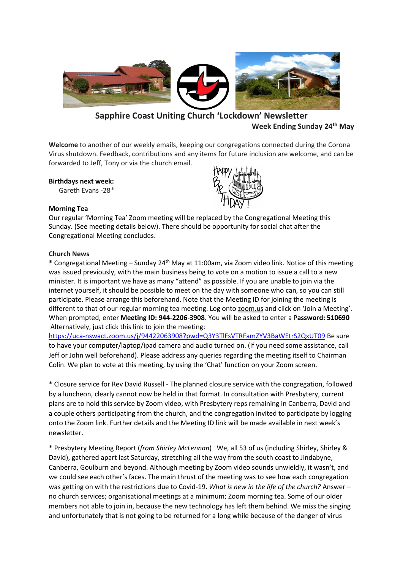

# **Sapphire Coast Uniting Church 'Lockdown' Newsletter Week Ending Sunday 24th May**

**Welcome** to another of our weekly emails, keeping our congregations connected during the Corona Virus shutdown. Feedback, contributions and any items for future inclusion are welcome, and can be forwarded to Jeff, Tony or via the church email.

### **Birthdays next week:**

Gareth Evans -28th

# **Morning Tea**



Our regular 'Morning Tea' Zoom meeting will be replaced by the Congregational Meeting this Sunday. (See meeting details below). There should be opportunity for social chat after the Congregational Meeting concludes.

### **Church News**

**\*** Congregational Meeting – Sunday 24th May at 11:00am, via Zoom video link. Notice of this meeting was issued previously, with the main business being to vote on a motion to issue a call to a new minister. It is important we have as many "attend" as possible. If you are unable to join via the internet yourself, it should be possible to meet on the day with someone who can, so you can still participate. Please arrange this beforehand. Note that the Meeting ID for joining the meeting is different to that of our regular morning tea meeting. Log onto zoom.us and click on 'Join a Meeting'. When prompted, enter **Meeting ID: 944-2206-3908**. You will be asked to enter a P**assword: 510690** Alternatively, just click this link to join the meeting:

<https://uca-nswact.zoom.us/j/94422063908?pwd=Q3Y3TlFsVTRFamZYV3BaWEtrS2QxUT09> Be sure to have your computer/laptop/ipad camera and audio turned on. (If you need some assistance, call Jeff or John well beforehand). Please address any queries regarding the meeting itself to Chairman Colin. We plan to vote at this meeting, by using the 'Chat' function on your Zoom screen.

\* Closure service for Rev David Russell - The planned closure service with the congregation, followed by a luncheon, clearly cannot now be held in that format. In consultation with Presbytery, current plans are to hold this service by Zoom video, with Presbytery reps remaining in Canberra, David and a couple others participating from the church, and the congregation invited to participate by logging onto the Zoom link. Further details and the Meeting ID link will be made available in next week's newsletter.

\* Presbytery Meeting Report (*from Shirley McLennan*) We, all 53 of us (including Shirley, Shirley & David), gathered apart last Saturday, stretching all the way from the south coast to Jindabyne, Canberra, Goulburn and beyond. Although meeting by Zoom video sounds unwieldly, it wasn't, and we could see each other's faces. The main thrust of the meeting was to see how each congregation was getting on with the restrictions due to Covid-19. *What is new in the life of the church?* Answer – no church services; organisational meetings at a minimum; Zoom morning tea. Some of our older members not able to join in, because the new technology has left them behind. We miss the singing and unfortunately that is not going to be returned for a long while because of the danger of virus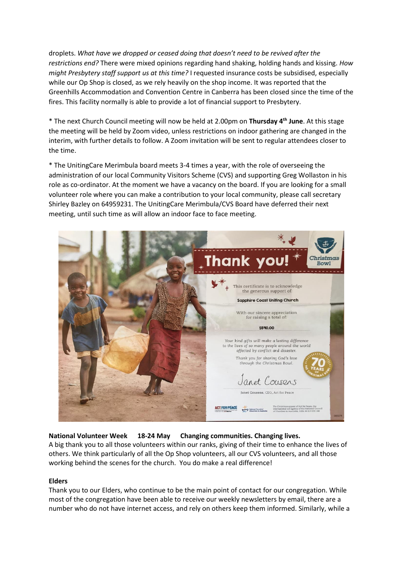droplets. *What have we dropped or ceased doing that doesn't need to be revived after the restrictions end?* There were mixed opinions regarding hand shaking, holding hands and kissing. *How might Presbytery staff support us at this time?* I requested insurance costs be subsidised, especially while our Op Shop is closed, as we rely heavily on the shop income. It was reported that the Greenhills Accommodation and Convention Centre in Canberra has been closed since the time of the fires. This facility normally is able to provide a lot of financial support to Presbytery.

\* The next Church Council meeting will now be held at 2.00pm on **Thursday 4 th June**. At this stage the meeting will be held by Zoom video, unless restrictions on indoor gathering are changed in the interim, with further details to follow. A Zoom invitation will be sent to regular attendees closer to the time.

\* The UnitingCare Merimbula board meets 3-4 times a year, with the role of overseeing the administration of our local Community Visitors Scheme (CVS) and supporting Greg Wollaston in his role as co-ordinator. At the moment we have a vacancy on the board. If you are looking for a small volunteer role where you can make a contribution to your local community, please call secretary Shirley Bazley on 64959231. The UnitingCare Merimbula/CVS Board have deferred their next meeting, until such time as will allow an indoor face to face meeting.



# **National Volunteer Week 18-24 May Changing communities. Changing lives.**

A big thank you to all those volunteers within our ranks, giving of their time to enhance the lives of others. We think particularly of all the Op Shop volunteers, all our CVS volunteers, and all those working behind the scenes for the church. You do make a real difference!

# **Elders**

Thank you to our Elders, who continue to be the main point of contact for our congregation. While most of the congregation have been able to receive our weekly newsletters by email, there are a number who do not have internet access, and rely on others keep them informed. Similarly, while a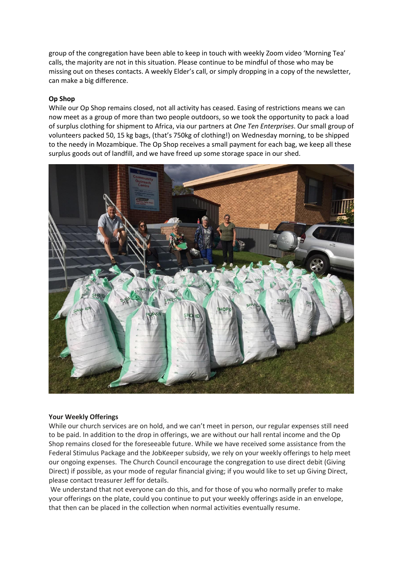group of the congregation have been able to keep in touch with weekly Zoom video 'Morning Tea' calls, the majority are not in this situation. Please continue to be mindful of those who may be missing out on theses contacts. A weekly Elder's call, or simply dropping in a copy of the newsletter, can make a big difference.

### **Op Shop**

While our Op Shop remains closed, not all activity has ceased. Easing of restrictions means we can now meet as a group of more than two people outdoors, so we took the opportunity to pack a load of surplus clothing for shipment to Africa, via our partners at *One Ten Enterprises*. Our small group of volunteers packed 50, 15 kg bags, (that's 750kg of clothing!) on Wednesday morning, to be shipped to the needy in Mozambique. The Op Shop receives a small payment for each bag, we keep all these surplus goods out of landfill, and we have freed up some storage space in our shed.



#### **Your Weekly Offerings**

While our church services are on hold, and we can't meet in person, our regular expenses still need to be paid. In addition to the drop in offerings, we are without our hall rental income and the Op Shop remains closed for the foreseeable future. While we have received some assistance from the Federal Stimulus Package and the JobKeeper subsidy, we rely on your weekly offerings to help meet our ongoing expenses. The Church Council encourage the congregation to use direct debit (Giving Direct) if possible, as your mode of regular financial giving; if you would like to set up Giving Direct, please contact treasurer Jeff for details.

We understand that not everyone can do this, and for those of you who normally prefer to make your offerings on the plate, could you continue to put your weekly offerings aside in an envelope, that then can be placed in the collection when normal activities eventually resume.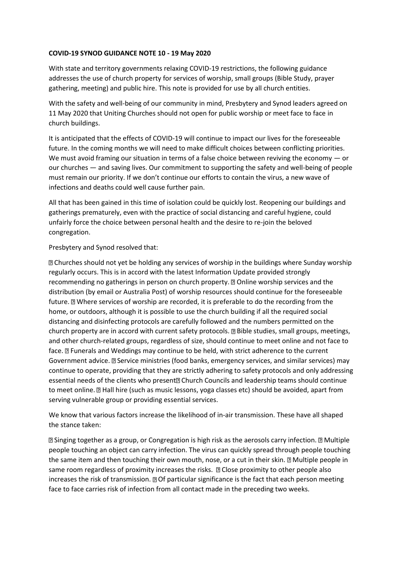# **COVID-19 SYNOD GUIDANCE NOTE 10 - 19 May 2020**

With state and territory governments relaxing COVID-19 restrictions, the following guidance addresses the use of church property for services of worship, small groups (Bible Study, prayer gathering, meeting) and public hire. This note is provided for use by all church entities.

With the safety and well-being of our community in mind, Presbytery and Synod leaders agreed on 11 May 2020 that Uniting Churches should not open for public worship or meet face to face in church buildings.

It is anticipated that the effects of COVID-19 will continue to impact our lives for the foreseeable future. In the coming months we will need to make difficult choices between conflicting priorities. We must avoid framing our situation in terms of a false choice between reviving the economy — or our churches — and saving lives. Our commitment to supporting the safety and well-being of people must remain our priority. If we don't continue our efforts to contain the virus, a new wave of infections and deaths could well cause further pain.

All that has been gained in this time of isolation could be quickly lost. Reopening our buildings and gatherings prematurely, even with the practice of social distancing and careful hygiene, could unfairly force the choice between personal health and the desire to re-join the beloved congregation.

Presbytery and Synod resolved that:

Churches should not yet be holding any services of worship in the buildings where Sunday worship regularly occurs. This is in accord with the latest Information Update provided strongly recommending no gatherings in person on church property. a Online worship services and the distribution (by email or Australia Post) of worship resources should continue for the foreseeable future. I Where services of worship are recorded, it is preferable to do the recording from the home, or outdoors, although it is possible to use the church building if all the required social distancing and disinfecting protocols are carefully followed and the numbers permitted on the church property are in accord with current safety protocols. Bible studies, small groups, meetings, and other church-related groups, regardless of size, should continue to meet online and not face to face. **I** Funerals and Weddings may continue to be held, with strict adherence to the current Government advice. **I Service ministries (food banks, emergency services, and similar services) may** continue to operate, providing that they are strictly adhering to safety protocols and only addressing essential needs of the clients who present<sup>[2]</sup> Church Councils and leadership teams should continue to meet online. **I** Hall hire (such as music lessons, yoga classes etc) should be avoided, apart from serving vulnerable group or providing essential services.

We know that various factors increase the likelihood of in-air transmission. These have all shaped the stance taken:

**Z Singing together as a group, or Congregation is high risk as the aerosols carry infection. Z Multiple** people touching an object can carry infection. The virus can quickly spread through people touching the same item and then touching their own mouth, nose, or a cut in their skin. **If** Multiple people in same room regardless of proximity increases the risks. **II Close proximity to other people also** increases the risk of transmission.  $\mathbb D$  Of particular significance is the fact that each person meeting face to face carries risk of infection from all contact made in the preceding two weeks.